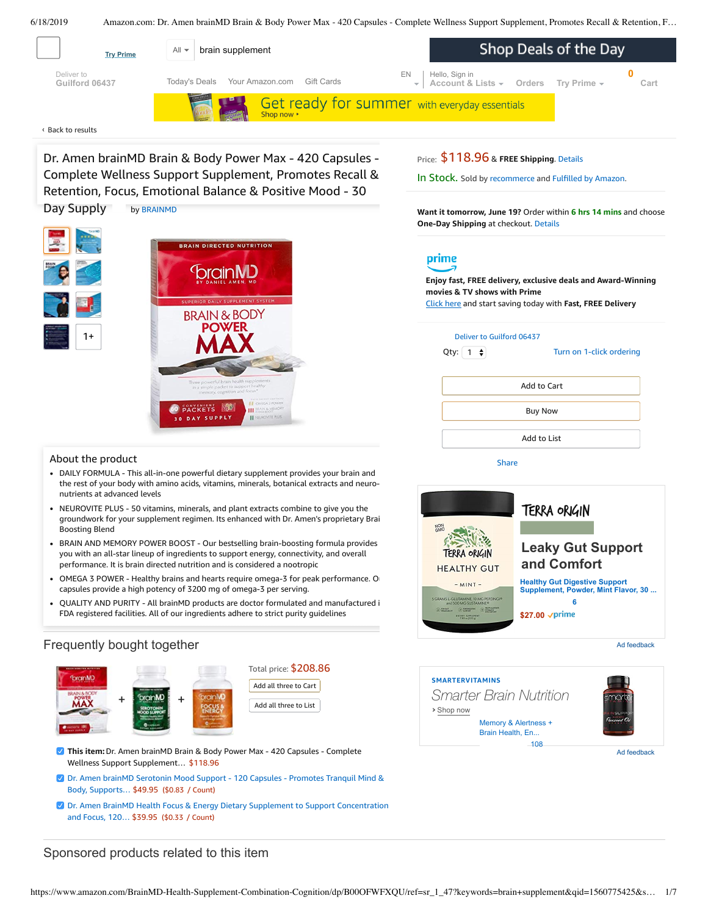<span id="page-0-0"></span>

[Retention,](javascript:void(0)) Focus, [Emotion](#page-3-0)al [Balance](#page-3-1) & Positive Mood - 30 Dr. Amen brainMD Brain & Body Power Max - 420 Capsules - Complete Wellness Support Supplement, Promotes Recall & Day Supply by [BRAINMD](https://www.amazon.com/BRAINMD/b/ref=bl_dp_s_web_13929696011?ie=UTF8&node=13929696011&field-lbr_brands_browse-bin=BRAINMD)

**BRAIN DIRECTED NUTRITION** 

orainMD

**BRAIN & BODY** 

# Price: \$118.96 & **FREE Shipping**. [Details](https://www.amazon.com/gp/help/customer/display.html/ref=mk_sss_dp_1/?ie=UTF8&pop-up=1&nodeId=527692)

In Stock. Sold by [recommerce](https://www.amazon.com/gp/help/seller/at-a-glance.html/ref=dp_merchant_link?ie=UTF8&seller=A32GOXAC8X4KTS&isAmazonFulfilled=1) and [Fulfilled](https://www.amazon.com/gp/help/customer/display.html?ie=UTF8&ref=dp_fulfillment&nodeId=106096011) by Amazon.

**Want it tomorrow, June 19?** Order within **6 hrs 14 mins** and choose **One-Day Shipping** at checkout. [Details](https://www.amazon.com/gp/help/customer/display.html/ref=ftinfo_dp_?ie=UTF8&nodeId=3510241&pop-up=1)

# prime

**Enjoy fast, FREE delivery, exclusive deals and Award-Winning movies & TV shows with Prime**

Click here and start saving today with **Fast, FREE Delivery**

### Deliver to Guilford 06437

[Share](mailto:?body=I%20want%20to%20recommend%20this%20product%20at%20Amazon.com%0A%0ADr.%20Amen%20brainMD%20Brain%20%26%20Body%20Power%20Max%20-%20420%20Capsules%20-%20Complete%20Wellness%20Support%20Supplement%2C%20Promotes%20Recall%20%26%20Retention%2C%20Focus%2C%20Emotional%20Balance%20%26%20Positive%20Mood%20-%2030%20Day%20Supply%0Aby%20recommerce%0ALearn%20more%3A%20https%3A%2F%2Fwww.amazon.com%2Fdp%2FB00OFWFXQU%2Fref%3Dcm_sw_em_r_mt_dp_U_haocDbTQB8W56&subject=I%20want%20to%20recommend%20this%20product%20on%20Amazon)

Qty:  $\begin{bmatrix} 1 \\ 2 \end{bmatrix}$ 

Turn on 1-click [ordering](https://www.amazon.com/gp/product/utility/edit-one-click-pref.html/ref=dp_oc_signin?ie=UTF8&query=&returnPath=%2Fgp%2Fproduct%2FB00OFWFXQU)

| Add to Cart    |  |
|----------------|--|
| <b>Buy Now</b> |  |
| Add to List    |  |

About the product

1+

DAILY FORMULA - This all-in-one powerful dietary supplement provides your brain and the rest of your body with amino acids, vitamins, minerals, botanical extracts and neuronutrients at advanced levels

PACKETS **WW** 

DAY SUPPLY

ш

- NEUROVITE PLUS 50 vitamins, minerals, and plant extracts combine to give you the groundwork for your supplement regimen. Its enhanced with Dr. Amen's proprietary Brain Boosting Blend
- BRAIN AND MEMORY POWER BOOST Our bestselling brain-boosting formula provides you with an all-star lineup of ingredients to support energy, connectivity, and overall performance. It is brain directed nutrition and is considered a nootropic
- OMEGA 3 POWER Healthy brains and hearts require omega-3 for peak [performance.](https://www.amazon.com/gp/redirect.html/ref=amb_link_1?_encoding=UTF8&location=https%3A%2F%2Fwww.amazon.com%2Fb%3Fnode%3D17904040011&source=standards&token=BE1FBDC111DBAC62750B07A4AFAFEF6D1A082253&pf_rd_m=ATVPDKIKX0DER&pf_rd_s=product-alert&pf_rd_r=T0QXBF87W65S6VJJ9ZSP&pf_rd_r=T0QXBF87W65S6VJJ9ZSP&pf_rd_t=201&pf_rd_p=daeb3cfd-e4e6-41c2-9f54-b460e6d1a06e&pf_rd_p=daeb3cfd-e4e6-41c2-9f54-b460e6d1a06e&pf_rd_i=B00OFWFXQU) O capsules provide a high potency of 3200 mg of omega-3 per serving.
- QUALITY AND PURITY All brainMD products are doctor formulated and manufactured i FDA registered facilities. All of our ingredients adhere to strict purity guidelines

## Frequently bought together





- **This item:**Dr. Amen brainMD Brain & Body Power Max 420 Capsules Complete Wellness Support Supplement… \$118.96
- Dr. Amen brainMD Serotonin Mood Support 120 Capsules Promotes Tranquil Mind & Body, [Supports…](https://www.amazon.com/Serotonin-Support-Natural-Supplement-Enhance/dp/B009ZXDUUA/ref=pd_bxgy_121_2/143-6729050-3493109?_encoding=UTF8&pd_rd_i=B009ZXDUUA&pd_rd_r=cfd7e572-91c8-11e9-92b8-4364c775c47b&pd_rd_w=S8u3s&pd_rd_wg=zG9iX&pf_rd_p=a2006322-0bc0-4db9-a08e-d168c18ce6f0&pf_rd_r=T0QXBF87W65S6VJJ9ZSP&psc=1&refRID=T0QXBF87W65S6VJJ9ZSP) \$49.95 (\$0.83 / Count)
- Dr. Amen BrainMD Health Focus & Energy Dietary Supplement to Support [Concentration](https://www.amazon.com/Dr-Amen-Focus-and-Energy/dp/B009ZX6L2O/ref=pd_bxgy_121_3/143-6729050-3493109?_encoding=UTF8&pd_rd_i=B009ZX6L2O&pd_rd_r=cfd7e572-91c8-11e9-92b8-4364c775c47b&pd_rd_w=S8u3s&pd_rd_wg=zG9iX&pf_rd_p=a2006322-0bc0-4db9-a08e-d168c18ce6f0&pf_rd_r=T0QXBF87W65S6VJJ9ZSP&psc=1&refRID=T0QXBF87W65S6VJJ9ZSP) and Focus, 120… \$39.95 (\$0.33 / Count)

## Sponsored products related to this item



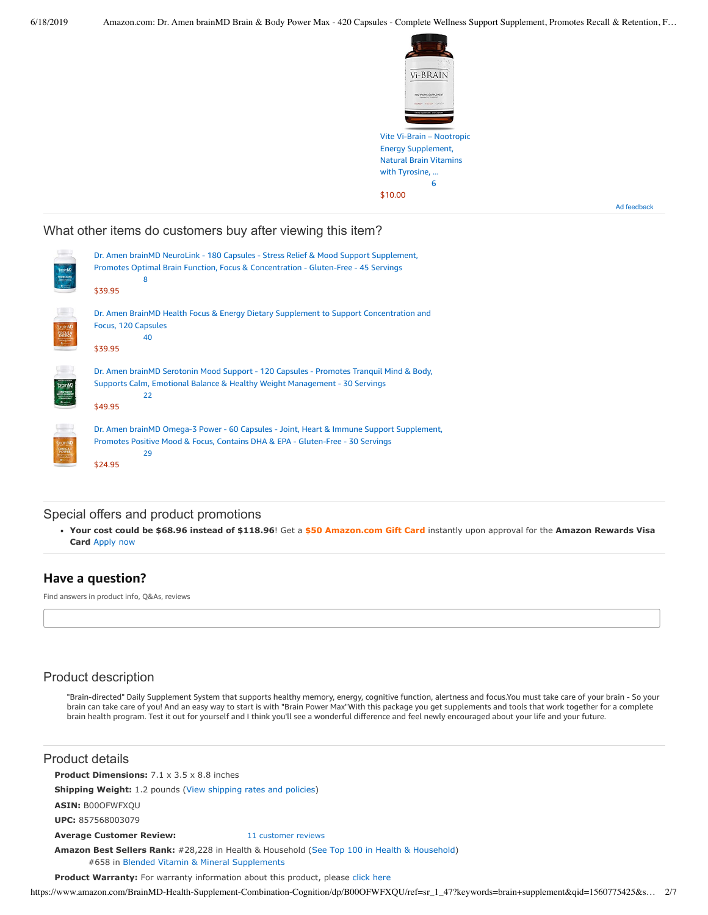

Ad feedback

## What other items do customers buy after viewing this item?

| foramMD                    | Dr. Amen brainMD NeuroLink - 180 Capsules - Stress Relief & Mood Support Supplement,<br>Promotes Optimal Brain Function, Focus & Concentration - Gluten-Free - 45 Servings<br>8<br>\$39.95  |
|----------------------------|---------------------------------------------------------------------------------------------------------------------------------------------------------------------------------------------|
|                            | Dr. Amen BrainMD Health Focus & Energy Dietary Supplement to Support Concentration and<br>Focus, 120 Capsules<br>40<br>\$39.95                                                              |
| <b><i><u>brant</u></i></b> | Dr. Amen brainMD Serotonin Mood Support - 120 Capsules - Promotes Tranquil Mind & Body,<br>Supports Calm, Emotional Balance & Healthy Weight Management - 30 Servings<br>22<br>\$49.95      |
|                            | Dr. Amen brainMD Omega-3 Power - 60 Capsules - Joint, Heart & Immune Support Supplement,<br>Promotes Positive Mood & Focus, Contains DHA & EPA - Gluten-Free - 30 Servings<br>29<br>\$24.95 |

### Special offers and product promotions

**[Your cost could be \\$68.96 instead of \\$118.96](https://www.amazon.com/gp/cobrandcard/marketing.html?pr=con321&inc=50gcUnrec&ts=dwutliumr9mwxm2r6r0bg05wqlf6dxi&dasin=B00OFWFXQU&plattr=math&place=detailpage&imp=66ea0924-059c-4908-b096-257c2d2599c3)**! Get a **\$50 Amazon.com Gift Card** instantly upon approval for the **Amazon Rewards Visa Card** Apply now

### **Have a question?**

Find answers in product info, Q&As, reviews

## Product description

"Brain-directed" Daily Supplement System that supports healthy memory, energy, cognitive function, alertness and focus.You must take care of your brain - So your brain can take care of you! And an easy way to start is with "Brain Power Max"With this package you get supplements and tools that work together for a complete brain health program. Test it out for yourself and I think you'll see a wonderful difference and feel newly encouraged about your life and your future.

### Product details

**Product Dimensions:** 7.1 x 3.5 x 8.8 inches

**Shipping Weight:** 1.2 pounds [\(View shipping rates and policies\)](https://www.amazon.com/gp/help/seller/shipping.html/ref=dp_pd_shipping?ie=UTF8&asin=B00OFWFXQU&seller=ATVPDKIKX0DER)

**ASIN:** B00OFWFXQU

**UPC:** 857568003079

#### **Average Customer Review:** [11 customer reviews](https://www.amazon.com/product-reviews/B00OFWFXQU/ref=acr_dpproductdetail_text?ie=UTF8&showViewpoints=1)

**Amazon Best Sellers Rank:** #28,228 in Health & Household ([See Top 100 in Health & Household\)](https://www.amazon.com/gp/bestsellers/hpc/ref=pd_zg_ts_hpc) #658 in [Blended Vitamin & Mineral Supplements](https://www.amazon.com/gp/bestsellers/hpc/3773931/ref=pd_zg_hrsr_hpc)

**Product Warranty:** For warranty information about this product, please [click here](https://www.amazon.com/gp/feature.html/ref=dp_warranty_request_3P?ie=UTF8&docId=1002406021)

https://www.amazon.com/BrainMD-Health-Supplement-Combination-Cognition/dp/B00OFWFXQU/ref=sr\_1\_47?keywords=brain+supplement&qid=1560775425&s… 2/7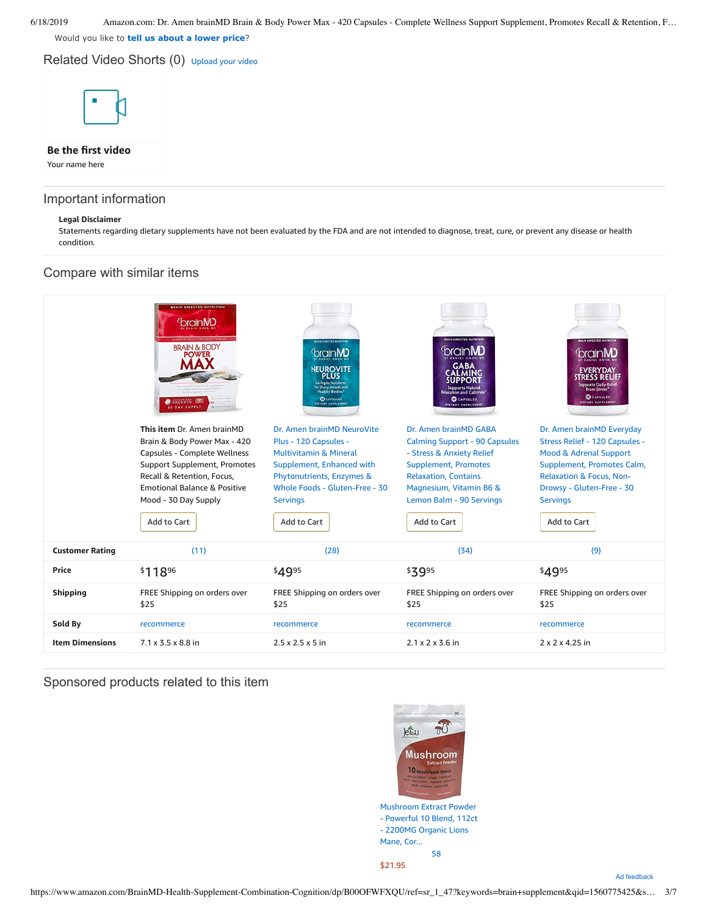Would you like to **tell us about a lower price**?

Related Video Shorts (0) [Upload](https://www.amazon.com/creatorhub/video/upload?productASIN=B00OFWFXQU&referringURL=ZHAvQjAwT0ZXRlhRVQ%3D%3D&ref=RVSW) your video



## Important information

#### **Legal Disclaimer**

Statements regarding dietary supplements have not been evaluated by the FDA and are not intended to diagnose, treat, cure, or prevent any disease or health condition.



Sponsored products related to this item

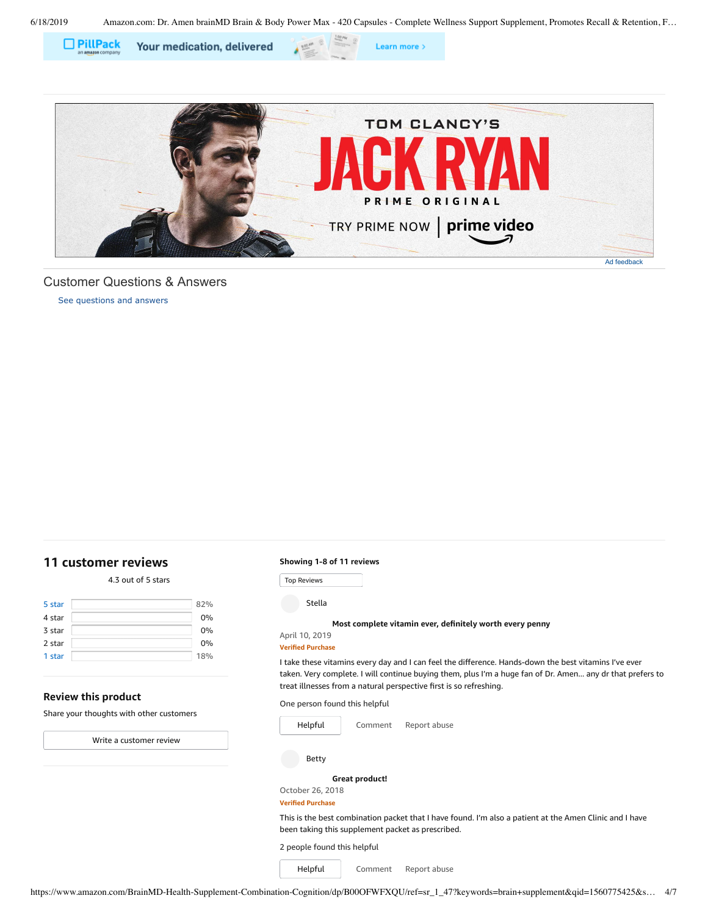Learn more >





<span id="page-3-1"></span>[See questions and answers](https://www.amazon.com/ask/questions/asin/B00OFWFXQU/ref=cm_cd_dp_lla_ql_ll) Customer Questions & Answers

## <span id="page-3-0"></span>**[11 customer](https://www.amazon.com/Amen-brainMD-Brain-Body-Power/product-reviews/B00OFWFXQU/ref=cm_cr_dp_d_show_all_top?ie=UTF8&reviewerType=all_reviews) reviews**

### 4.3 out of 5 [stars](javascript:void(0))

| 5 star | 82% |
|--------|-----|
| 4 star | 0%  |
| 3 star | 0%  |
| 2 star | 0%  |
| 1 star | 18% |

### **Review this product**

Share your thoughts with other customers

Write a [customer](https://www.amazon.com/review/create-review/ref=cm_cr_dp_d_wr_but_top?ie=UTF8&channel=glance-detail&asin=B00OFWFXQU) review

#### **Showing 1-8 of 11 reviews**

Top Reviews Top Reviews

Stella

### **Most complete vitamin ever, [definitely](https://www.amazon.com/gp/customer-reviews/R2JKAG8YHZPSGN/ref=cm_cr_dp_d_rvw_ttl?ie=UTF8&ASIN=B00OFWFXQU) worth every penny**

April 10, 2019 **Verified Purchase**

I take these vitamins every day and I can feel the difference. Hands-down the best vitamins I've ever taken. Very complete. I will continue buying them, plus I'm a huge fan of Dr. Amen... any dr that prefers to treat illnesses from a natural perspective first is so refreshing.

One person found this helpful



[Comment](https://www.amazon.com/gp/customer-reviews/R2JKAG8YHZPSGN/ref=cm_cr_dp_d_rvw_btm?ie=UTF8&ASIN=B00OFWFXQU#wasThisHelpful) [Report](https://www.amazon.com/hz/reviews-render/report-abuse?ie=UTF8&voteDomain=Reviews&ref=cm_cr_dp_d_rvw_hlp&csrfT=guF8HayCA6SGwqRTuH87pN3y%2FiQZDtfvcULE%2BbMAAAABAAAAAF0I4AdyYXcAAAAA%2B4kUEk%2F7iMGR3xPcX6iU&entityId=R2JKAG8YHZPSGN&sessionId=143-6729050-3493109) abuse

Betty

#### **Great [product!](https://www.amazon.com/gp/customer-reviews/RNINT9JQ27SQ8/ref=cm_cr_dp_d_rvw_ttl?ie=UTF8&ASIN=B00OFWFXQU)**

October 26, 2018

#### **Verified Purchase**

This is the best combination packet that I have found. I'm also a patient at the Amen Clinic and I have been taking this supplement packet as prescribed.

2 people found this helpful

[Comment](https://www.amazon.com/gp/customer-reviews/RNINT9JQ27SQ8/ref=cm_cr_dp_d_rvw_btm?ie=UTF8&ASIN=B00OFWFXQU#wasThisHelpful) [Report](https://www.amazon.com/hz/reviews-render/report-abuse?ie=UTF8&voteDomain=Reviews&ref=cm_cr_dp_d_rvw_hlp&csrfT=gkJqrBZ52BM0ZCVOkas3bvLYJPgpAyHMRcFu29EAAAABAAAAAF0I4AdyYXcAAAAA%2B4kUEk%2F7iMGR3xPcX6iU&entityId=RNINT9JQ27SQ8&sessionId=143-6729050-3493109) abuse [Helpful](https://www.amazon.com/ap/signin?openid.return_to=https%3A%2F%2Fwww.amazon.com%2Fdp%2FB00OFWFXQU%2Fref%3Dcm_cr_dp_d_vote_lft%3Fie%3DUTF8%26voteInstanceId%3DRNINT9JQ27SQ8%26voteValue%3D1%26csrfT%3DgkJqrBZ52BM0ZCVOkas3bvLYJPgpAyHMRcFu29EAAAABAAAAAF0I4AdyYXcAAAAA%252B4kUEk%252F7iMGR3xPcX6iU%23RNINT9JQ27SQ8&openid.identity=http%3A%2F%2Fspecs.openid.net%2Fauth%2F2.0%2Fidentifier_select&openid.claimed_id=http%3A%2F%2Fspecs.openid.net%2Fauth%2F2.0%2Fidentifier_select&openid.assoc_handle=usflex&openid.mode=checkid_setup&openid.ns=http%3A%2F%2Fspecs.openid.net%2Fauth%2F2.0)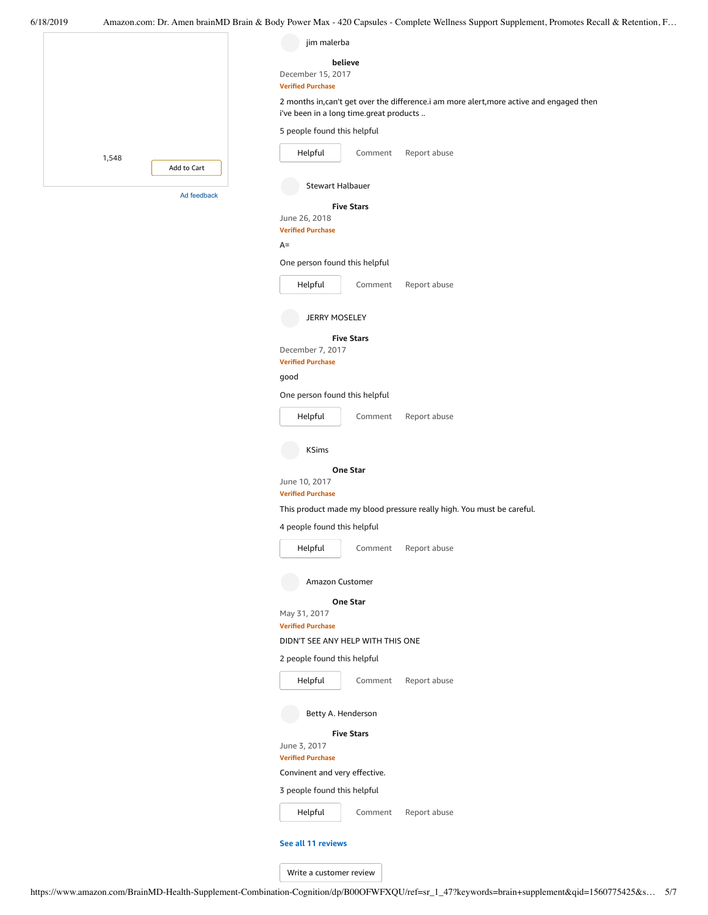|                      | jim malerba                                                                              |
|----------------------|------------------------------------------------------------------------------------------|
|                      | believe                                                                                  |
|                      | December 15, 2017<br><b>Verified Purchase</b>                                            |
|                      | 2 months in, can't get over the difference.i am more alert, more active and engaged then |
|                      | i've been in a long time.great products                                                  |
|                      | 5 people found this helpful                                                              |
| 1,548<br>Add to Cart | Helpful<br>Report abuse<br>Comment                                                       |
|                      | <b>Stewart Halbauer</b>                                                                  |
| Ad feedback          | <b>Five Stars</b>                                                                        |
|                      | June 26, 2018                                                                            |
|                      | <b>Verified Purchase</b><br>$A=$                                                         |
|                      | One person found this helpful                                                            |
|                      | Helpful<br>Report abuse<br>Comment                                                       |
|                      |                                                                                          |
|                      | <b>JERRY MOSELEY</b>                                                                     |
|                      | <b>Five Stars</b>                                                                        |
|                      | December 7, 2017<br><b>Verified Purchase</b>                                             |
|                      | good                                                                                     |
|                      | One person found this helpful                                                            |
|                      | Report abuse<br>Helpful<br>Comment                                                       |
|                      | <b>KSims</b>                                                                             |
|                      | <b>One Star</b><br>June 10, 2017                                                         |
|                      | <b>Verified Purchase</b>                                                                 |
|                      | This product made my blood pressure really high. You must be careful.                    |
|                      | 4 people found this helpful                                                              |
|                      | Helpful<br>Comment<br>Report abuse                                                       |
|                      | Amazon Customer                                                                          |
|                      | One Star                                                                                 |
|                      | May 31, 2017<br><b>Verified Purchase</b>                                                 |
|                      | DIDN'T SEE ANY HELP WITH THIS ONE                                                        |
|                      | 2 people found this helpful                                                              |
|                      | Helpful<br>Comment<br>Report abuse                                                       |
|                      | Betty A. Henderson                                                                       |
|                      | <b>Five Stars</b><br>June 3, 2017                                                        |
|                      | <b>Verified Purchase</b>                                                                 |
|                      | Convinent and very effective.                                                            |
|                      | 3 people found this helpful                                                              |
|                      | Helpful<br>Report abuse<br>Comment                                                       |
|                      | See all 11 reviews                                                                       |
|                      | Write a customer review                                                                  |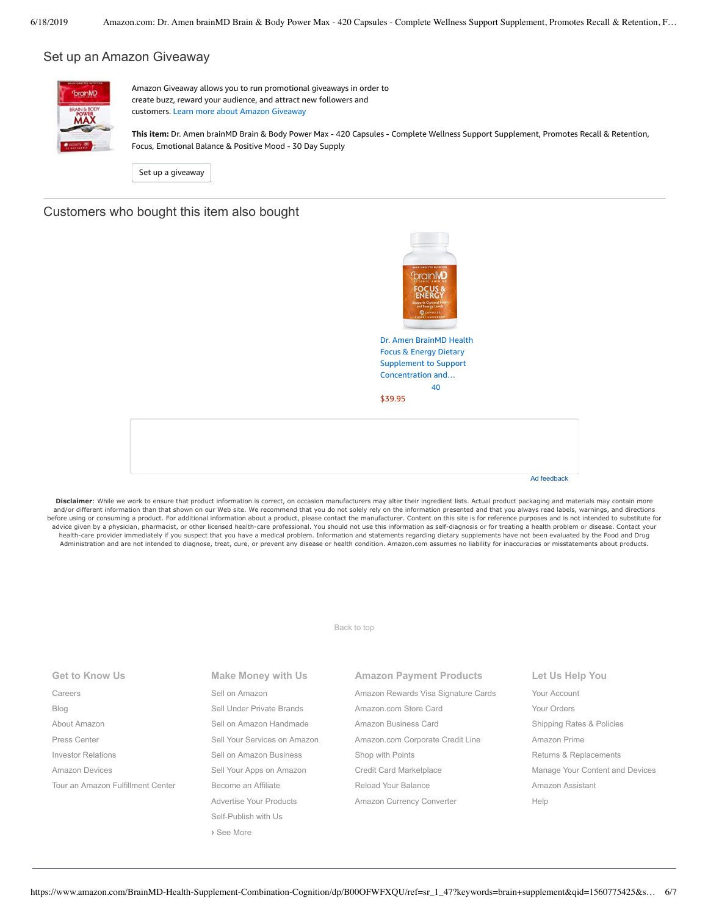### Set up an Amazon Giveaway



Amazon Giveaway allows you to run promotional giveaways in order to create buzz, reward your audience, and attract new followers and customers. Learn more about Amazon [Giveaway](https://www.amazon.com/gp/giveaway/home?ref=aga_dp_lm)

**This item:** Dr. Amen brainMD Brain & Body Power Max - 420 Capsules - Complete Wellness Support Supplement, Promotes Recall & Retention, Focus, Emotional Balance & Positive Mood - 30 Day Supply

Set up a [giveaway](https://www.amazon.com/giveaway/host/setup/ref=aga_h_su_dp?_encoding=UTF8&asin=B00OFWFXQU)

### Customers who bought this item also bought



Focus & Energy Dietary Supplement to Support [Concentration](https://www.amazon.com/Dr-Amen-Focus-and-Energy/dp/B009ZX6L2O/ref=pd_sim_121_1/143-6729050-3493109?_encoding=UTF8&pd_rd_i=B009ZX6L2O&pd_rd_r=cfd7e572-91c8-11e9-92b8-4364c775c47b&pd_rd_w=YQdip&pd_rd_wg=zG9iX&pf_rd_p=90485860-83e9-4fd9-b838-b28a9b7fda30&pf_rd_r=T0QXBF87W65S6VJJ9ZSP&psc=1&refRID=T0QXBF87W65S6VJJ9ZSP) and… [40](https://www.amazon.com/product-reviews/B009ZX6L2O/ref=pd_sim_121_cr_1/143-6729050-3493109?ie=UTF8&pd_rd_i=B009ZX6L2O&pd_rd_r=cfd7e572-91c8-11e9-92b8-4364c775c47b&pd_rd_w=YQdip&pd_rd_wg=zG9iX&pf_rd_p=90485860-83e9-4fd9-b838-b28a9b7fda30&pf_rd_r=T0QXBF87W65S6VJJ9ZSP&refRID=T0QXBF87W65S6VJJ9ZSP) [\\$39.95](https://www.amazon.com/Dr-Amen-Focus-and-Energy/dp/B009ZX6L2O/ref=pd_sim_121_1/143-6729050-3493109?_encoding=UTF8&pd_rd_i=B009ZX6L2O&pd_rd_r=cfd7e572-91c8-11e9-92b8-4364c775c47b&pd_rd_w=YQdip&pd_rd_wg=zG9iX&pf_rd_p=90485860-83e9-4fd9-b838-b28a9b7fda30&pf_rd_r=T0QXBF87W65S6VJJ9ZSP&psc=1&refRID=T0QXBF87W65S6VJJ9ZSP)

Ad feedback

Disclaimer: While we work to ensure that product information is correct, on occasion manufacturers may alter their ingredient lists. Actual product packaging and materials may contain more and/or different information than that shown on our Web site. We recommend that you do not solely rely on the information presented and that you always read labels, warnings, and directions before using or consuming a product. For additional information about a product, please contact the manufacturer. Content on this site is for reference purposes and is not intended to substitute for advice given by a physician, pharmacist, or other licensed health-care professional. You should not use this information as self-diagnosis or for treating a health problem or disease. Contact your health-care provider immediately if you suspect that you have a medical problem. Information and statements regarding dietary supplements have not been evaluated by the Food and Drug Administration and are not intended to diagnose, treat, cure, or prevent any disease or health condition. Amazon.com assumes no liability for inaccuracies or misstatements about products.

[Back to top](#page-0-0)

| <b>Get to Know Us</b>             | Make Money with Us           | <b>Amazon Payment Products</b>      | Let Us Help You                 |
|-----------------------------------|------------------------------|-------------------------------------|---------------------------------|
| Careers                           | Sell on Amazon               | Amazon Rewards Visa Signature Cards | Your Account                    |
| Blog                              | Sell Under Private Brands    | Amazon.com Store Card               | Your Orders                     |
| About Amazon                      | Sell on Amazon Handmade      | Amazon Business Card                | Shipping Rates & Policies       |
| Press Center                      | Sell Your Services on Amazon | Amazon.com Corporate Credit Line    | Amazon Prime                    |
| <b>Investor Relations</b>         | Sell on Amazon Business      | Shop with Points                    | Returns & Replacements          |
| Amazon Devices                    | Sell Your Apps on Amazon     | Credit Card Marketplace             | Manage Your Content and Devices |
| Tour an Amazon Fulfillment Center | Become an Affiliate          | Reload Your Balance                 | Amazon Assistant                |
|                                   | Advertise Your Products      | Amazon Currency Converter           | Help                            |
|                                   | Self-Publish with Us         |                                     |                                 |
|                                   | > See More                   |                                     |                                 |